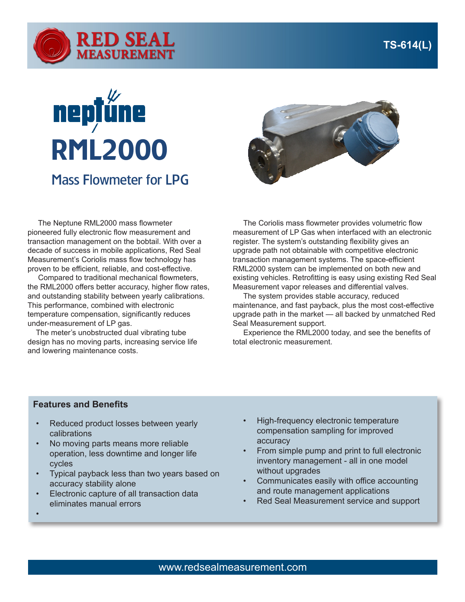

## **neptű** RML2000 Mass Flowmeter for LPG



 The Neptune RML2000 mass flowmeter pioneered fully electronic flow measurement and transaction management on the bobtail. With over a decade of success in mobile applications, Red Seal Measurement's Coriolis mass flow technology has proven to be efficient, reliable, and cost-effective.

 Compared to traditional mechanical flowmeters, the RML2000 offers better accuracy, higher flow rates, and outstanding stability between yearly calibrations. This performance, combined with electronic temperature compensation, significantly reduces under-measurement of LP gas.

 The meter's unobstructed dual vibrating tube design has no moving parts, increasing service life and lowering maintenance costs.

 The Coriolis mass flowmeter provides volumetric flow measurement of LP Gas when interfaced with an electronic register. The system's outstanding flexibility gives an upgrade path not obtainable with competitive electronic transaction management systems. The space-efficient RML2000 system can be implemented on both new and existing vehicles. Retrofitting is easy using existing Red Seal Measurement vapor releases and differential valves.

 The system provides stable accuracy, reduced maintenance, and fast payback, plus the most cost-effective upgrade path in the market — all backed by unmatched Red Seal Measurement support.

 Experience the RML2000 today, and see the benefits of total electronic measurement.

## **Features and Benefits**

•

- Reduced product losses between yearly calibrations
- No moving parts means more reliable operation, less downtime and longer life cycles
- Typical payback less than two years based on accuracy stability alone
- Electronic capture of all transaction data eliminates manual errors
- High-frequency electronic temperature compensation sampling for improved accuracy
- From simple pump and print to full electronic inventory management - all in one model without upgrades
- Communicates easily with office accounting and route management applications
- Red Seal Measurement service and support